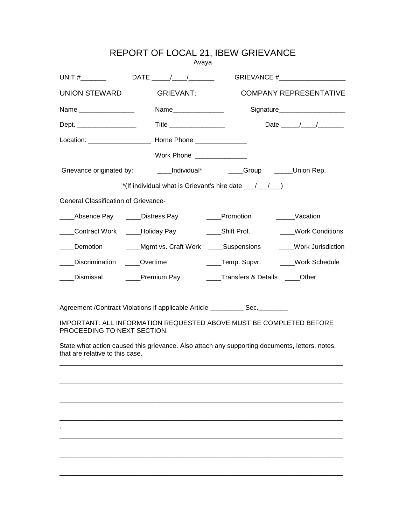|                                             | Avaya                                               | REPORT OF LOCAL 21, IBEW GRIEVANCE                                                             |                                                                                           |
|---------------------------------------------|-----------------------------------------------------|------------------------------------------------------------------------------------------------|-------------------------------------------------------------------------------------------|
|                                             |                                                     | UNIT #________    DATE _____/____/________   GRIEVANCE #___________________                    |                                                                                           |
| UNION STEWARD                               | GRIEVANT:                                           |                                                                                                | <b>COMPANY REPRESENTATIVE</b>                                                             |
| Name _________________                      | Name_______________                                 |                                                                                                | Signature_____________________                                                            |
| Dept. ___________________                   | Title ___________________                           |                                                                                                | Date $\frac{1}{\sqrt{1-\frac{1}{2}}}\left\vert \frac{1}{\sqrt{1-\frac{1}{2}}}\right\vert$ |
|                                             |                                                     |                                                                                                |                                                                                           |
|                                             | Work Phone _______________                          |                                                                                                |                                                                                           |
|                                             |                                                     | Grievance originated by: ________Individual* ________Group ______Union Rep.                    |                                                                                           |
|                                             |                                                     | *(If individual what is Grievant's hire date $\frac{1}{\sqrt{1-\frac{1}{2}}}$ )                |                                                                                           |
| <b>General Classification of Grievance-</b> |                                                     |                                                                                                |                                                                                           |
|                                             | Absence Pay _____Distress Pay                       | ____Promotion                                                                                  | Vacation                                                                                  |
|                                             | Contract Work _____Holiday Pay _________Shift Prof. |                                                                                                | ____Work Conditions                                                                       |
|                                             |                                                     | Demotion _______Mgmt vs. Craft Work _____Suspensions ______Work Jurisdiction                   |                                                                                           |
| Discrimination ____Overtime                 |                                                     | Temp. Supvr. _____Work Schedule                                                                |                                                                                           |
| Dismissal                                   |                                                     | <b>EXAMPLE Premium Pay COMPLE Transfers &amp; Details</b> Cother                               |                                                                                           |
|                                             |                                                     |                                                                                                |                                                                                           |
|                                             |                                                     | Agreement /Contract Violations if applicable Article __________ Sec._________                  |                                                                                           |
| PROCEEDING TO NEXT SECTION.                 |                                                     | IMPORTANT: ALL INFORMATION REQUESTED ABOVE MUST BE COMPLETED BEFORE                            |                                                                                           |
|                                             |                                                     | State what action caused this grievance. Also attach any supporting documents, letters, notes, |                                                                                           |

that are relative to this case.

\_\_\_\_\_\_\_\_\_\_\_\_\_\_\_\_\_\_\_\_\_\_\_\_\_\_\_\_\_\_\_\_\_\_\_\_\_\_\_\_\_\_\_\_\_\_\_\_\_\_\_\_\_\_\_\_\_\_\_\_\_\_\_\_

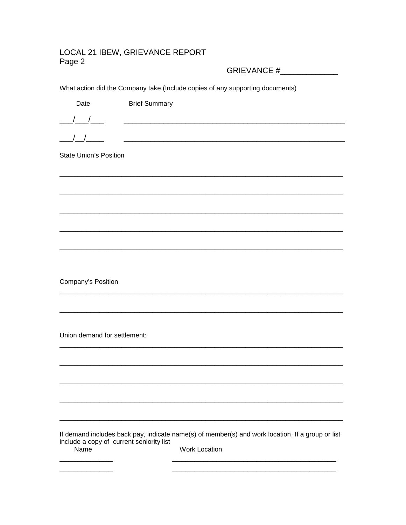## LOCAL 21 IBEW, GRIEVANCE REPORT Page 2

GRIEVANCE #\_\_\_\_\_\_\_\_\_\_\_\_\_

What action did the Company take.(Include copies of any supporting documents)

| Date                                     | <b>Brief Summary</b>                                                                                                 |
|------------------------------------------|----------------------------------------------------------------------------------------------------------------------|
|                                          | <u> 1989 - Johann Barbara, martin basalar basal da</u>                                                               |
|                                          |                                                                                                                      |
| $\left  \right $                         | <u> 1989 - Johann Stein, mars an deutscher Stein und der Stein und der Stein und der Stein und der Stein und der</u> |
| <b>State Union's Position</b>            |                                                                                                                      |
|                                          |                                                                                                                      |
|                                          |                                                                                                                      |
|                                          |                                                                                                                      |
|                                          |                                                                                                                      |
|                                          |                                                                                                                      |
|                                          |                                                                                                                      |
|                                          |                                                                                                                      |
| <b>Company's Position</b>                |                                                                                                                      |
|                                          |                                                                                                                      |
|                                          |                                                                                                                      |
| Union demand for settlement:             |                                                                                                                      |
|                                          |                                                                                                                      |
|                                          |                                                                                                                      |
|                                          |                                                                                                                      |
|                                          |                                                                                                                      |
|                                          |                                                                                                                      |
| include a copy of current seniority list | If demand includes back pay, indicate name(s) of member(s) and work location, If a group or list                     |
| Name                                     | <b>Work Location</b>                                                                                                 |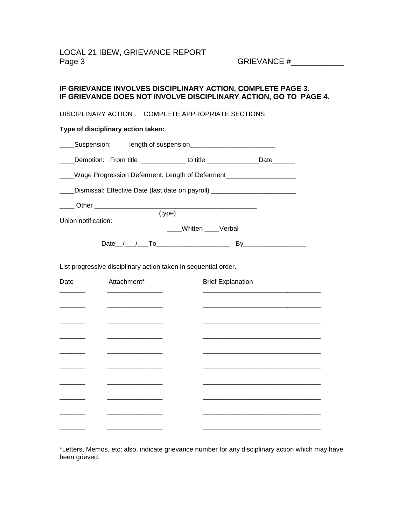## **IF GRIEVANCE INVOLVES DISCIPLINARY ACTION, COMPLETE PAGE 3. IF GRIEVANCE DOES NOT INVOLVE DISCIPLINARY ACTION, GO TO PAGE 4.**

DISCIPLINARY ACTION : COMPLETE APPROPRIATE SECTIONS

## **Type of disciplinary action taken:**

\_\_\_\_Suspension: length of suspension\_\_\_\_\_\_\_\_\_\_\_\_\_\_\_\_\_\_\_\_\_\_\_

| Demotion: | From title |  |  |
|-----------|------------|--|--|
|-----------|------------|--|--|

\_\_\_\_Wage Progression Deferment: Length of Deferment\_\_\_\_\_\_\_\_\_\_\_\_\_\_\_\_\_\_\_

(type)

Dismissal: Effective Date (last date on payroll)

Union notification:

\_\_\_\_ Other \_\_\_\_\_\_\_\_\_\_\_\_\_\_\_\_\_\_\_\_\_\_\_\_\_\_\_\_\_\_\_\_\_\_\_\_\_\_\_\_\_\_\_\_

\_\_\_\_Written \_\_\_\_Verbal

Date\_\_/\_\_\_/\_\_\_To\_\_\_\_\_\_\_\_\_\_\_\_\_\_\_\_\_\_\_\_ By\_\_\_\_\_\_\_\_\_\_\_\_\_\_\_\_\_

List progressive disciplinary action taken in sequential order.

| Date | Attachment* | <b>Brief Explanation</b> |
|------|-------------|--------------------------|
|      |             |                          |
|      |             |                          |
|      |             |                          |
|      |             |                          |
|      |             |                          |
|      |             |                          |
|      |             |                          |
|      |             |                          |
|      |             |                          |
|      |             |                          |

\*Letters, Memos, etc; also, indicate grievance number for any disciplinary action which may have been grieved.